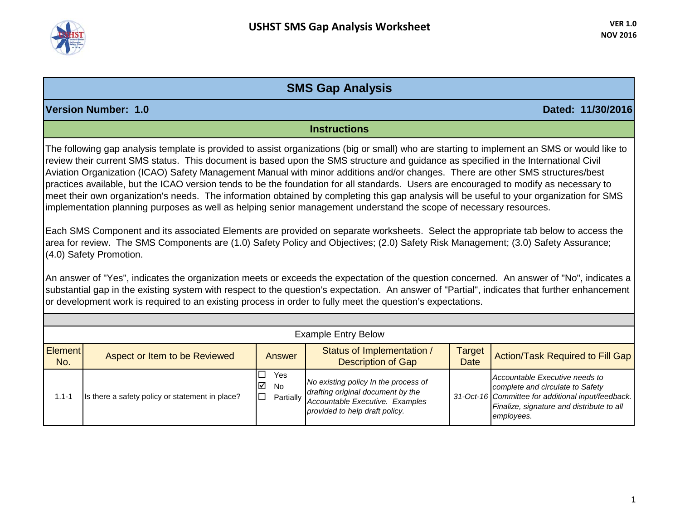

## **SMS Gap Analysis**

**Version Number: 1.0 Dated: 11/30/2016**

## **Instructions**

The following gap analysis template is provided to assist organizations (big or small) who are starting to implement an SMS or would like to review their current SMS status. This document is based upon the SMS structure and guidance as specified in the International Civil Aviation Organization (ICAO) Safety Management Manual with minor additions and/or changes. There are other SMS structures/best practices available, but the ICAO version tends to be the foundation for all standards. Users are encouraged to modify as necessary to meet their own organization's needs. The information obtained by completing this gap analysis will be useful to your organization for SMS implementation planning purposes as well as helping senior management understand the scope of necessary resources.

Each SMS Component and its associated Elements are provided on separate worksheets. Select the appropriate tab below to access the area for review. The SMS Components are (1.0) Safety Policy and Objectives; (2.0) Safety Risk Management; (3.0) Safety Assurance; (4.0) Safety Promotion.

An answer of "Yes", indicates the organization meets or exceeds the expectation of the question concerned. An answer of "No", indicates a substantial gap in the existing system with respect to the question's expectation. An answer of "Partial", indicates that further enhancement or development work is required to an existing process in order to fully meet the question's expectations.

|                       | <b>Example Entry Below</b>                      |                                        |                                                                                                                                                          |                       |                                                                                                                                                                                     |  |  |  |  |
|-----------------------|-------------------------------------------------|----------------------------------------|----------------------------------------------------------------------------------------------------------------------------------------------------------|-----------------------|-------------------------------------------------------------------------------------------------------------------------------------------------------------------------------------|--|--|--|--|
| <b>Element</b><br>No. | Aspect or Item to be Reviewed                   | Answer                                 | Status of Implementation /<br><b>Description of Gap</b>                                                                                                  | Target<br><b>Date</b> | Action/Task Required to Fill Gap                                                                                                                                                    |  |  |  |  |
| 1.1-1                 | Is there a safety policy or statement in place? | $\Box$<br>Yes<br>$\triangledown$<br>No | No existing policy In the process of<br>drafting original document by the<br>Partially Accountable Executive. Examples<br>provided to help draft policy. |                       | Accountable Executive needs to<br>complete and circulate to Safety<br>31-Oct-16 Committee for additional input/feedback.<br>Finalize, signature and distribute to all<br>employees. |  |  |  |  |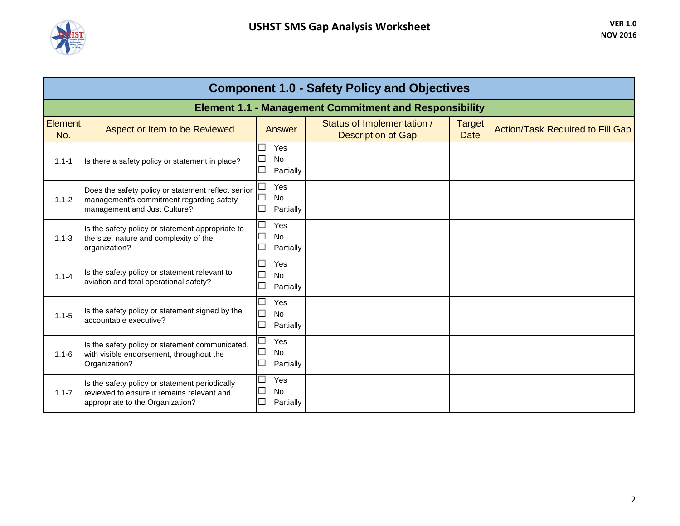

| <b>Component 1.0 - Safety Policy and Objectives</b> |                                                                                                                                  |                                                                             |                                                               |                       |                                         |  |  |
|-----------------------------------------------------|----------------------------------------------------------------------------------------------------------------------------------|-----------------------------------------------------------------------------|---------------------------------------------------------------|-----------------------|-----------------------------------------|--|--|
|                                                     |                                                                                                                                  |                                                                             | <b>Element 1.1 - Management Commitment and Responsibility</b> |                       |                                         |  |  |
| Element<br>No.                                      | Aspect or Item to be Reviewed                                                                                                    | <b>Answer</b>                                                               | Status of Implementation /<br><b>Description of Gap</b>       | Target<br><b>Date</b> | <b>Action/Task Required to Fill Gap</b> |  |  |
| $1.1 - 1$                                           | Is there a safety policy or statement in place?                                                                                  | $\Box$<br>Yes<br>$\Box$<br>No<br>$\Box$<br>Partially                        |                                                               |                       |                                         |  |  |
| $1.1 - 2$                                           | Does the safety policy or statement reflect senior<br>management's commitment regarding safety<br>management and Just Culture?   | $\Box$<br>Yes<br>$\Box$<br><b>No</b><br>$\Box$<br>Partially                 |                                                               |                       |                                         |  |  |
| $1.1 - 3$                                           | Is the safety policy or statement appropriate to<br>the size, nature and complexity of the<br>organization?                      | $\Box$<br>Yes<br>$\Box$<br>No<br>$\Box$<br>Partially                        |                                                               |                       |                                         |  |  |
| $1.1 - 4$                                           | Is the safety policy or statement relevant to<br>aviation and total operational safety?                                          | Yes<br>$\Box$<br><b>No</b><br>$\Box$<br>Partially                           |                                                               |                       |                                         |  |  |
| $1.1 - 5$                                           | Is the safety policy or statement signed by the<br>accountable executive?                                                        | ⊏<br>Yes<br>$\Box$<br><b>No</b><br>$\mathcal{L}_{\mathcal{A}}$<br>Partially |                                                               |                       |                                         |  |  |
| $1.1 - 6$                                           | Is the safety policy or statement communicated,<br>with visible endorsement, throughout the<br>Organization?                     | $\Box$<br>Yes<br>$\Box$<br>No<br>$\Box$<br>Partially                        |                                                               |                       |                                         |  |  |
| $1.1 - 7$                                           | Is the safety policy or statement periodically<br>reviewed to ensure it remains relevant and<br>appropriate to the Organization? | $\Box$<br>Yes<br>$\Box$<br><b>No</b><br>$\Box$<br>Partially                 |                                                               |                       |                                         |  |  |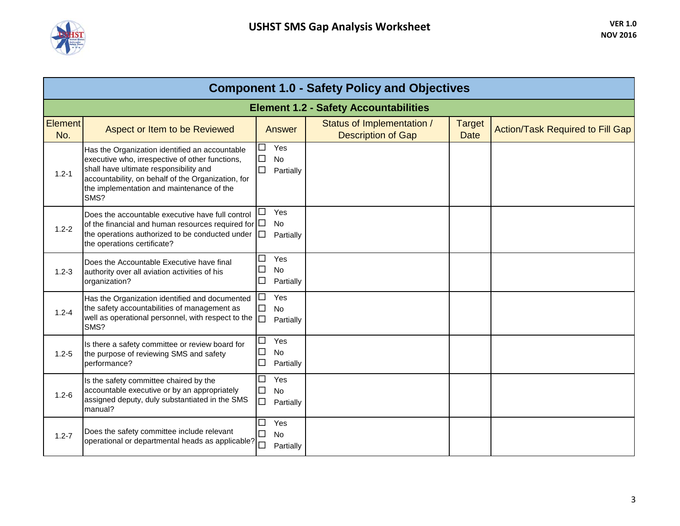

|                | <b>Component 1.0 - Safety Policy and Objectives</b>                                                                                                                                                                                                    |                                                             |                                                         |                              |                                         |  |  |  |
|----------------|--------------------------------------------------------------------------------------------------------------------------------------------------------------------------------------------------------------------------------------------------------|-------------------------------------------------------------|---------------------------------------------------------|------------------------------|-----------------------------------------|--|--|--|
|                | <b>Element 1.2 - Safety Accountabilities</b>                                                                                                                                                                                                           |                                                             |                                                         |                              |                                         |  |  |  |
| Element<br>No. | Aspect or Item to be Reviewed                                                                                                                                                                                                                          | Answer                                                      | Status of Implementation /<br><b>Description of Gap</b> | <b>Target</b><br><b>Date</b> | <b>Action/Task Required to Fill Gap</b> |  |  |  |
| $1.2 - 1$      | Has the Organization identified an accountable<br>executive who, irrespective of other functions,<br>shall have ultimate responsibility and<br>accountability, on behalf of the Organization, for<br>the implementation and maintenance of the<br>SMS? | Yes<br>П<br>$\Box$<br>No<br>□<br>Partially                  |                                                         |                              |                                         |  |  |  |
| $1.2 - 2$      | Does the accountable executive have full control<br>of the financial and human resources required for<br>the operations authorized to be conducted under<br>the operations certificate?                                                                | Yes<br>L<br><b>No</b><br>$\Box$<br>□<br>Partially           |                                                         |                              |                                         |  |  |  |
| $1.2 - 3$      | Does the Accountable Executive have final<br>authority over all aviation activities of his<br>organization?                                                                                                                                            | Yes<br>L.<br>$\Box$<br><b>No</b><br>□<br>Partially          |                                                         |                              |                                         |  |  |  |
| $1.2 - 4$      | Has the Organization identified and documented<br>the safety accountabilities of management as<br>well as operational personnel, with respect to the<br>SMS?                                                                                           | Yes<br>L.<br>$\Box$<br>No<br>$\Box$<br>Partially            |                                                         |                              |                                         |  |  |  |
| $1.2 - 5$      | Is there a safety committee or review board for<br>the purpose of reviewing SMS and safety<br>performance?                                                                                                                                             | $\Box$<br>Yes<br>$\Box$<br>No<br>$\Box$<br>Partially        |                                                         |                              |                                         |  |  |  |
| $1.2 - 6$      | Is the safety committee chaired by the<br>accountable executive or by an appropriately<br>assigned deputy, duly substantiated in the SMS<br>manual?                                                                                                    | $\Box$<br>Yes<br>$\Box$<br><b>No</b><br>$\Box$<br>Partially |                                                         |                              |                                         |  |  |  |
| $1.2 - 7$      | Does the safety committee include relevant<br>operational or departmental heads as applicable?                                                                                                                                                         | Yes<br>$\sim$<br>$\Box$<br><b>No</b><br>$\Box$<br>Partially |                                                         |                              |                                         |  |  |  |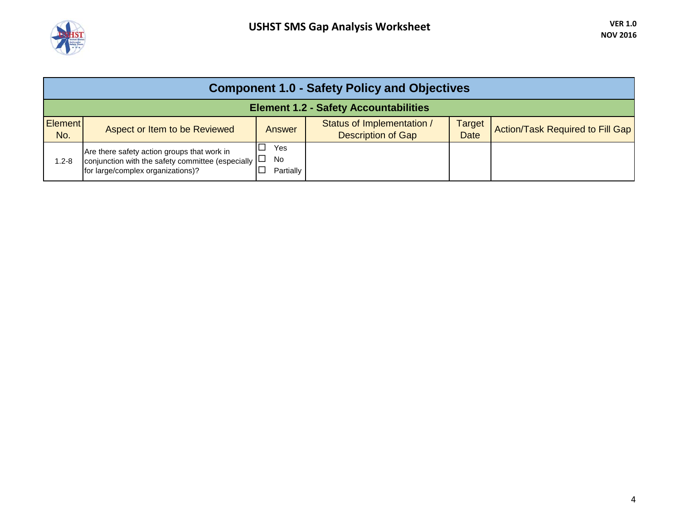

|                                              | <b>Component 1.0 - Safety Policy and Objectives</b>                                                                                           |                        |                                                         |                              |                                  |  |  |  |  |
|----------------------------------------------|-----------------------------------------------------------------------------------------------------------------------------------------------|------------------------|---------------------------------------------------------|------------------------------|----------------------------------|--|--|--|--|
| <b>Element 1.2 - Safety Accountabilities</b> |                                                                                                                                               |                        |                                                         |                              |                                  |  |  |  |  |
| <b>Element</b><br>No.                        | Aspect or Item to be Reviewed                                                                                                                 | Answer                 | Status of Implementation /<br><b>Description of Gap</b> | <b>Target</b><br><b>Date</b> | Action/Task Required to Fill Gap |  |  |  |  |
| 1.2-8                                        | Are there safety action groups that work in<br>conjunction with the safety committee (especially $ \Box$<br>for large/complex organizations)? | Yes<br>No<br>Partially |                                                         |                              |                                  |  |  |  |  |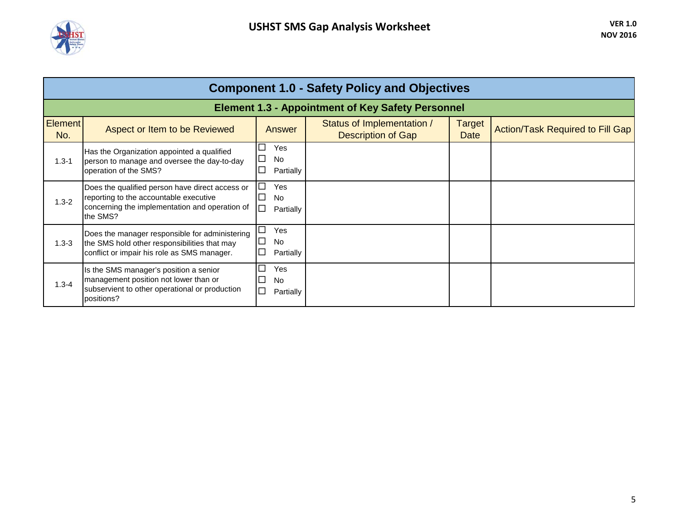

| <b>Component 1.0 - Safety Policy and Objectives</b> |                                                                                                                                                         |                                                                                  |                                                          |                       |                                         |  |  |  |
|-----------------------------------------------------|---------------------------------------------------------------------------------------------------------------------------------------------------------|----------------------------------------------------------------------------------|----------------------------------------------------------|-----------------------|-----------------------------------------|--|--|--|
|                                                     |                                                                                                                                                         |                                                                                  | <b>Element 1.3 - Appointment of Key Safety Personnel</b> |                       |                                         |  |  |  |
| <b>Element</b><br>No.                               | Aspect or Item to be Reviewed                                                                                                                           | Answer                                                                           | Status of Implementation /<br><b>Description of Gap</b>  | Target<br><b>Date</b> | <b>Action/Task Required to Fill Gap</b> |  |  |  |
| $1.3 - 1$                                           | Has the Organization appointed a qualified<br>person to manage and oversee the day-to-day<br>operation of the SMS?                                      | □<br>Yes<br>No<br>$\Box$<br>$\Box$<br>Partially                                  |                                                          |                       |                                         |  |  |  |
| $1.3 - 2$                                           | Does the qualified person have direct access or<br>reporting to the accountable executive<br>concerning the implementation and operation of<br>the SMS? | $\Box$<br>Yes<br><b>No</b><br>$\mathcal{L}_{\mathcal{A}}$<br>$\Box$<br>Partially |                                                          |                       |                                         |  |  |  |
| $1.3 - 3$                                           | Does the manager responsible for administering<br>the SMS hold other responsibilities that may<br>conflict or impair his role as SMS manager.           | $\Box$<br>Yes<br>$\mathcal{L}_{\mathcal{A}}$<br><b>No</b><br>Partially<br>└      |                                                          |                       |                                         |  |  |  |
| $1.3 - 4$                                           | Is the SMS manager's position a senior<br>management position not lower than or<br>subservient to other operational or production<br>positions?         | ⊏<br>Yes<br>∟<br><b>No</b><br>$\Box$<br>Partially                                |                                                          |                       |                                         |  |  |  |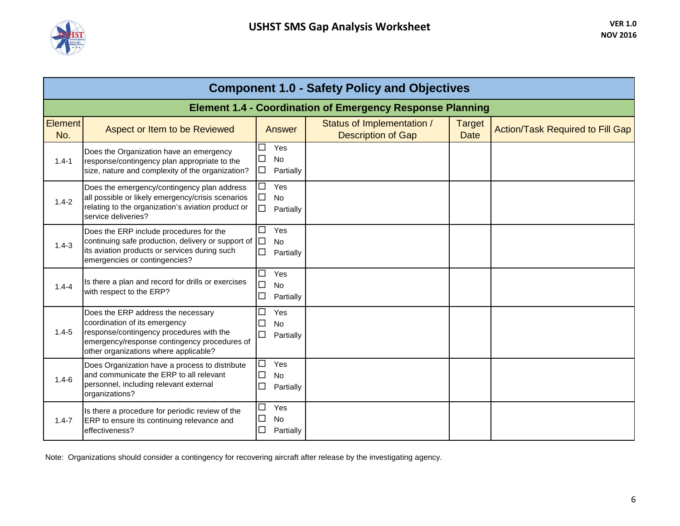

| <b>Component 1.0 - Safety Policy and Objectives</b> |                                                                                                                                                                                                          |                                                                             |                                                                  |                              |                                         |  |  |
|-----------------------------------------------------|----------------------------------------------------------------------------------------------------------------------------------------------------------------------------------------------------------|-----------------------------------------------------------------------------|------------------------------------------------------------------|------------------------------|-----------------------------------------|--|--|
|                                                     |                                                                                                                                                                                                          |                                                                             | <b>Element 1.4 - Coordination of Emergency Response Planning</b> |                              |                                         |  |  |
| <b>Element</b><br>No.                               | Aspect or Item to be Reviewed                                                                                                                                                                            | Answer                                                                      | Status of Implementation /<br><b>Description of Gap</b>          | <b>Target</b><br><b>Date</b> | <b>Action/Task Required to Fill Gap</b> |  |  |
| $1.4 - 1$                                           | Does the Organization have an emergency<br>response/contingency plan appropriate to the<br>size, nature and complexity of the organization?                                                              | П<br>Yes<br><b>No</b><br>$\Box$<br>□<br>Partially                           |                                                                  |                              |                                         |  |  |
| $1.4 - 2$                                           | Does the emergency/contingency plan address<br>all possible or likely emergency/crisis scenarios<br>relating to the organization's aviation product or<br>service deliveries?                            | Yes<br>$\Box$<br><b>No</b><br>$\mathcal{L}_{\mathcal{A}}$<br>П<br>Partially |                                                                  |                              |                                         |  |  |
| $1.4 - 3$                                           | Does the ERP include procedures for the<br>continuing safe production, delivery or support of $\square$<br>its aviation products or services during such<br>emergencies or contingencies?                | $\Box$<br>Yes<br><b>No</b><br>П<br>Partially                                |                                                                  |                              |                                         |  |  |
| $1.4 - 4$                                           | Is there a plan and record for drills or exercises<br>with respect to the ERP?                                                                                                                           | □<br>Yes<br>$\Box$<br>No<br>$\Box$<br>Partially                             |                                                                  |                              |                                         |  |  |
| $1.4 - 5$                                           | Does the ERP address the necessary<br>coordination of its emergency<br>response/contingency procedures with the<br>emergency/response contingency procedures of<br>other organizations where applicable? | $\Box$<br>Yes<br>$\Box$<br>No<br>□<br>Partially                             |                                                                  |                              |                                         |  |  |
| $1.4 - 6$                                           | Does Organization have a process to distribute<br>and communicate the ERP to all relevant<br>personnel, including relevant external<br>organizations?                                                    | $\Box$<br>Yes<br>$\Box$<br><b>No</b><br>$\Box$<br>Partially                 |                                                                  |                              |                                         |  |  |
| $1.4 - 7$                                           | Is there a procedure for periodic review of the<br>ERP to ensure its continuing relevance and<br>effectiveness?                                                                                          | $\Box$<br>Yes<br>□<br>No<br>$\Box$<br>Partially                             |                                                                  |                              |                                         |  |  |

Note: Organizations should consider a contingency for recovering aircraft after release by the investigating agency.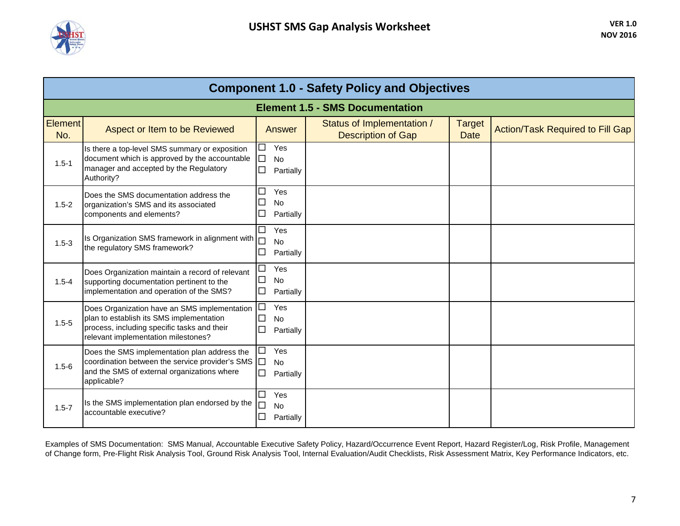

| <b>Component 1.0 - Safety Policy and Objectives</b> |                                                                                                                                                                                |                                                                           |                                                         |                              |                                         |  |  |
|-----------------------------------------------------|--------------------------------------------------------------------------------------------------------------------------------------------------------------------------------|---------------------------------------------------------------------------|---------------------------------------------------------|------------------------------|-----------------------------------------|--|--|
|                                                     |                                                                                                                                                                                |                                                                           | <b>Element 1.5 - SMS Documentation</b>                  |                              |                                         |  |  |
| <b>Element</b><br>No.                               | Aspect or Item to be Reviewed                                                                                                                                                  | Answer                                                                    | Status of Implementation /<br><b>Description of Gap</b> | <b>Target</b><br><b>Date</b> | <b>Action/Task Required to Fill Gap</b> |  |  |
| $1.5 - 1$                                           | Is there a top-level SMS summary or exposition<br>document which is approved by the accountable<br>manager and accepted by the Regulatory<br>Authority?                        | Yes<br>$\Box$<br>No<br>$\Box$<br>П<br>Partially                           |                                                         |                              |                                         |  |  |
| $1.5 - 2$                                           | Does the SMS documentation address the<br>organization's SMS and its associated<br>components and elements?                                                                    | Yes<br>$\Box$<br>No<br>∟<br>$\Box$<br>Partially                           |                                                         |                              |                                         |  |  |
| $1.5 - 3$                                           | Is Organization SMS framework in alignment with  <br>the regulatory SMS framework?                                                                                             | $\Box$<br>Yes<br>No<br>$\Box$<br>Partially                                |                                                         |                              |                                         |  |  |
| $1.5 - 4$                                           | Does Organization maintain a record of relevant<br>supporting documentation pertinent to the<br>implementation and operation of the SMS?                                       | Yes<br>Г<br>□<br>No<br>$\Box$<br>Partially                                |                                                         |                              |                                         |  |  |
| $1.5 - 5$                                           | Does Organization have an SMS implementation<br>plan to establish its SMS implementation<br>process, including specific tasks and their<br>relevant implementation milestones? | □<br>Yes<br>□<br>No<br>$\Box$<br>Partially                                |                                                         |                              |                                         |  |  |
| $1.5 - 6$                                           | Does the SMS implementation plan address the<br>coordination between the service provider's SMS □<br>and the SMS of external organizations where<br>applicable?                | Yes<br>$\Box$<br><b>No</b><br>П<br>Partially                              |                                                         |                              |                                         |  |  |
| $1.5 - 7$                                           | Is the SMS implementation plan endorsed by the<br>accountable executive?                                                                                                       | $\Box$<br>Yes<br>$\mathcal{L}_{\mathcal{A}}$<br>No<br>$\Box$<br>Partially |                                                         |                              |                                         |  |  |

Examples of SMS Documentation: SMS Manual, Accountable Executive Safety Policy, Hazard/Occurrence Event Report, Hazard Register/Log, Risk Profile, Management of Change form, Pre-Flight Risk Analysis Tool, Ground Risk Analysis Tool, Internal Evaluation/Audit Checklists, Risk Assessment Matrix, Key Performance Indicators, etc.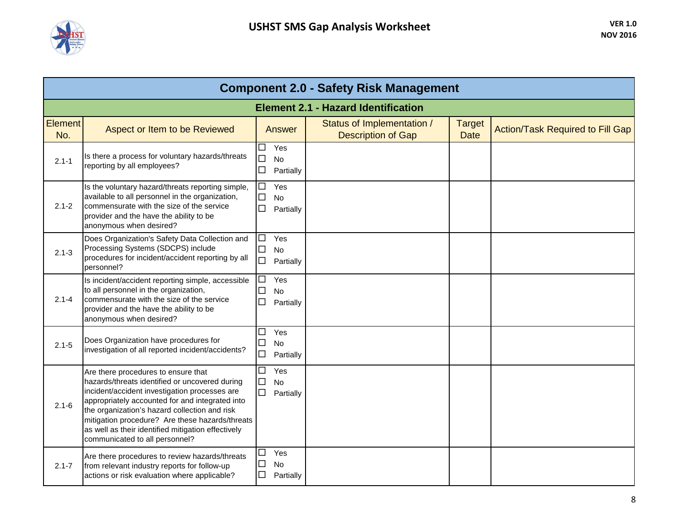

|                       | <b>Component 2.0 - Safety Risk Management</b>                                                                                                                                                                                                                                                                                                                                         |                                                        |                                                         |                              |                                         |  |  |  |  |
|-----------------------|---------------------------------------------------------------------------------------------------------------------------------------------------------------------------------------------------------------------------------------------------------------------------------------------------------------------------------------------------------------------------------------|--------------------------------------------------------|---------------------------------------------------------|------------------------------|-----------------------------------------|--|--|--|--|
|                       | <b>Element 2.1 - Hazard Identification</b>                                                                                                                                                                                                                                                                                                                                            |                                                        |                                                         |                              |                                         |  |  |  |  |
| <b>Element</b><br>No. | Aspect or Item to be Reviewed                                                                                                                                                                                                                                                                                                                                                         | Answer                                                 | Status of Implementation /<br><b>Description of Gap</b> | <b>Target</b><br><b>Date</b> | <b>Action/Task Required to Fill Gap</b> |  |  |  |  |
| $2.1 - 1$             | Is there a process for voluntary hazards/threats<br>reporting by all employees?                                                                                                                                                                                                                                                                                                       | Yes<br>$\Box$<br>$\Box$<br>No<br>$\Box$<br>Partially   |                                                         |                              |                                         |  |  |  |  |
| $2.1 - 2$             | Is the voluntary hazard/threats reporting simple,<br>available to all personnel in the organization,<br>commensurate with the size of the service<br>provider and the have the ability to be<br>anonymous when desired?                                                                                                                                                               | $\Box$<br>Yes<br>$\Box$<br>No<br>□<br>Partially        |                                                         |                              |                                         |  |  |  |  |
| $2.1 - 3$             | Does Organization's Safety Data Collection and<br>Processing Systems (SDCPS) include<br>procedures for incident/accident reporting by all<br>personnel?                                                                                                                                                                                                                               | Yes<br>□<br>$\Box$<br>No<br>$\Box$<br>Partially        |                                                         |                              |                                         |  |  |  |  |
| $2.1 - 4$             | Is incident/accident reporting simple, accessible<br>to all personnel in the organization,<br>commensurate with the size of the service<br>provider and the have the ability to be<br>anonymous when desired?                                                                                                                                                                         | Yes<br>□<br>$\Box$<br><b>No</b><br>$\Box$<br>Partially |                                                         |                              |                                         |  |  |  |  |
| $2.1 - 5$             | Does Organization have procedures for<br>investigation of all reported incident/accidents?                                                                                                                                                                                                                                                                                            | Yes<br>$\Box$<br>$\Box$<br>No<br>$\Box$<br>Partially   |                                                         |                              |                                         |  |  |  |  |
| $2.1 - 6$             | Are there procedures to ensure that<br>hazards/threats identified or uncovered during<br>incident/accident investigation processes are<br>appropriately accounted for and integrated into<br>the organization's hazard collection and risk<br>mitigation procedure? Are these hazards/threats<br>as well as their identified mitigation effectively<br>communicated to all personnel? | $\Box$<br>Yes<br>$\Box$<br>No<br>$\Box$<br>Partially   |                                                         |                              |                                         |  |  |  |  |
| $2.1 - 7$             | Are there procedures to review hazards/threats<br>from relevant industry reports for follow-up<br>actions or risk evaluation where applicable?                                                                                                                                                                                                                                        | Yes<br>$\Box$<br>$\Box$<br>No<br>□<br>Partially        |                                                         |                              |                                         |  |  |  |  |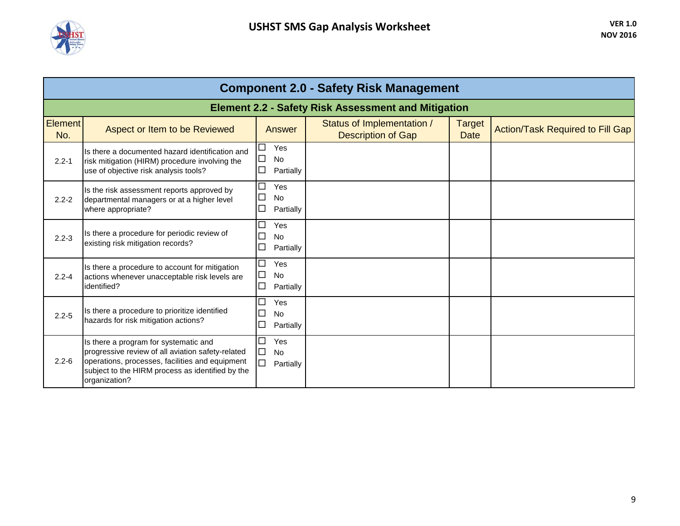

|                       | <b>Component 2.0 - Safety Risk Management</b>                                                                                                                                                                      |                                                                                  |                                                         |                              |                                         |  |  |  |  |
|-----------------------|--------------------------------------------------------------------------------------------------------------------------------------------------------------------------------------------------------------------|----------------------------------------------------------------------------------|---------------------------------------------------------|------------------------------|-----------------------------------------|--|--|--|--|
|                       | <b>Element 2.2 - Safety Risk Assessment and Mitigation</b>                                                                                                                                                         |                                                                                  |                                                         |                              |                                         |  |  |  |  |
| <b>Element</b><br>No. | Aspect or Item to be Reviewed                                                                                                                                                                                      | <b>Answer</b>                                                                    | Status of Implementation /<br><b>Description of Gap</b> | <b>Target</b><br><b>Date</b> | <b>Action/Task Required to Fill Gap</b> |  |  |  |  |
| $2.2 - 1$             | Is there a documented hazard identification and<br>risk mitigation (HIRM) procedure involving the<br>use of objective risk analysis tools?                                                                         | $\Box$<br>Yes<br>$\Box$<br><b>No</b><br>$\Box$<br>Partially                      |                                                         |                              |                                         |  |  |  |  |
| $2.2 - 2$             | Is the risk assessment reports approved by<br>departmental managers or at a higher level<br>where appropriate?                                                                                                     | $\Box$<br>Yes<br>$\mathcal{L}_{\mathcal{A}}$<br><b>No</b><br>$\Box$<br>Partially |                                                         |                              |                                         |  |  |  |  |
| $2.2 - 3$             | Is there a procedure for periodic review of<br>existing risk mitigation records?                                                                                                                                   | $\Box$<br>Yes<br><b>No</b><br>Partially                                          |                                                         |                              |                                         |  |  |  |  |
| $2.2 - 4$             | Is there a procedure to account for mitigation<br>actions whenever unacceptable risk levels are<br>identified?                                                                                                     | $\Box$<br>Yes<br>$\Box$<br>No<br>$\Box$<br>Partially                             |                                                         |                              |                                         |  |  |  |  |
| $2.2 - 5$             | Is there a procedure to prioritize identified<br>hazards for risk mitigation actions?                                                                                                                              | $\Box$<br>Yes<br>$\Box$<br><b>No</b><br>$\Box$<br>Partially                      |                                                         |                              |                                         |  |  |  |  |
| $2.2 - 6$             | Is there a program for systematic and<br>progressive review of all aviation safety-related<br>operations, processes, facilities and equipment<br>subject to the HIRM process as identified by the<br>organization? | $\Box$<br>Yes<br>$\Box$<br><b>No</b><br>$\Box$<br>Partially                      |                                                         |                              |                                         |  |  |  |  |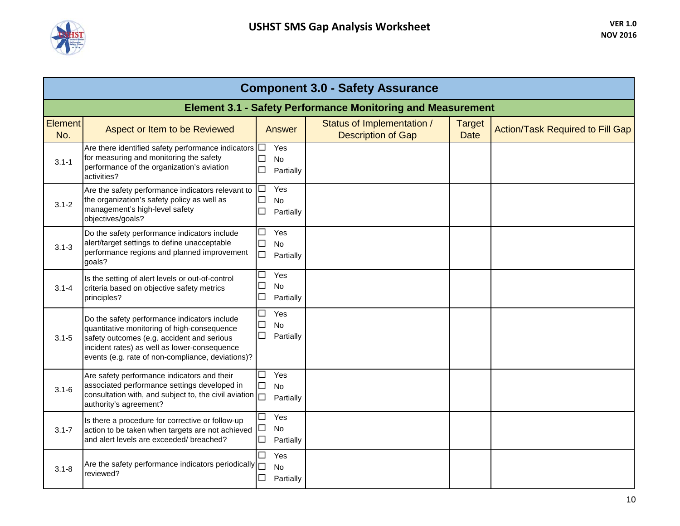

|                       | <b>Component 3.0 - Safety Assurance</b>                                                                                                                                                                                                        |                                                             |                                                         |                              |                                         |  |  |  |
|-----------------------|------------------------------------------------------------------------------------------------------------------------------------------------------------------------------------------------------------------------------------------------|-------------------------------------------------------------|---------------------------------------------------------|------------------------------|-----------------------------------------|--|--|--|
|                       | <b>Element 3.1 - Safety Performance Monitoring and Measurement</b>                                                                                                                                                                             |                                                             |                                                         |                              |                                         |  |  |  |
| <b>Element</b><br>No. | Aspect or Item to be Reviewed                                                                                                                                                                                                                  | Answer                                                      | Status of Implementation /<br><b>Description of Gap</b> | <b>Target</b><br><b>Date</b> | <b>Action/Task Required to Fill Gap</b> |  |  |  |
| $3.1 - 1$             | Are there identified safety performance indicators $\Box$<br>for measuring and monitoring the safety<br>performance of the organization's aviation<br>activities?                                                                              | Yes<br>$\Box$<br><b>No</b><br>$\Box$<br>Partially           |                                                         |                              |                                         |  |  |  |
| $3.1 - 2$             | Are the safety performance indicators relevant to<br>the organization's safety policy as well as<br>management's high-level safety<br>objectives/goals?                                                                                        | Yes<br>$\Box$<br>$\Box$<br><b>No</b><br>$\Box$<br>Partially |                                                         |                              |                                         |  |  |  |
| $3.1 - 3$             | Do the safety performance indicators include<br>alert/target settings to define unacceptable<br>performance regions and planned improvement<br>goals?                                                                                          | $\Box$<br>Yes<br>$\Box$<br><b>No</b><br>$\Box$<br>Partially |                                                         |                              |                                         |  |  |  |
| $3.1 - 4$             | Is the setting of alert levels or out-of-control<br>criteria based on objective safety metrics<br>principles?                                                                                                                                  | $\Box$<br>Yes<br>$\Box$<br><b>No</b><br>$\Box$<br>Partially |                                                         |                              |                                         |  |  |  |
| $3.1 - 5$             | Do the safety performance indicators include<br>quantitative monitoring of high-consequence<br>safety outcomes (e.g. accident and serious<br>incident rates) as well as lower-consequence<br>events (e.g. rate of non-compliance, deviations)? | $\Box$<br>Yes<br>$\Box$<br><b>No</b><br>$\Box$<br>Partially |                                                         |                              |                                         |  |  |  |
| $3.1 - 6$             | Are safety performance indicators and their<br>associated performance settings developed in<br>consultation with, and subject to, the civil aviation $\square$<br>authority's agreement?                                                       | Yes<br>$\Box$<br>$\Box$<br>No<br>Partially                  |                                                         |                              |                                         |  |  |  |
| $3.1 - 7$             | Is there a procedure for corrective or follow-up<br>action to be taken when targets are not achieved<br>and alert levels are exceeded/ breached?                                                                                               | Yes<br>□<br>口<br>No<br>$\Box$<br>Partially                  |                                                         |                              |                                         |  |  |  |
| $3.1 - 8$             | Are the safety performance indicators periodically<br>reviewed?                                                                                                                                                                                | $\Box$<br>Yes<br>$\Box$<br>No<br>□<br>Partially             |                                                         |                              |                                         |  |  |  |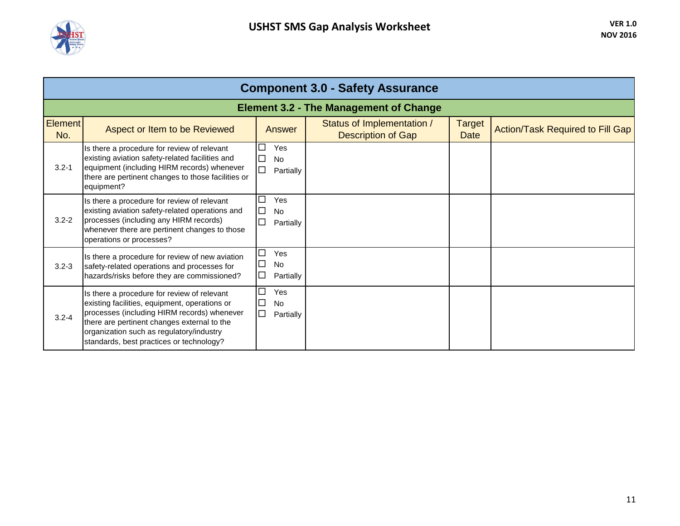

| <b>Component 3.0 - Safety Assurance</b> |                                                                                                                                                                                                                                                                                    |                                                                             |                                                         |                              |                                         |  |  |  |
|-----------------------------------------|------------------------------------------------------------------------------------------------------------------------------------------------------------------------------------------------------------------------------------------------------------------------------------|-----------------------------------------------------------------------------|---------------------------------------------------------|------------------------------|-----------------------------------------|--|--|--|
|                                         |                                                                                                                                                                                                                                                                                    |                                                                             | <b>Element 3.2 - The Management of Change</b>           |                              |                                         |  |  |  |
| <b>Element</b><br>No.                   | Aspect or Item to be Reviewed                                                                                                                                                                                                                                                      | Answer                                                                      | Status of Implementation /<br><b>Description of Gap</b> | <b>Target</b><br><b>Date</b> | <b>Action/Task Required to Fill Gap</b> |  |  |  |
| $3.2 - 1$                               | Is there a procedure for review of relevant<br>existing aviation safety-related facilities and<br>equipment (including HIRM records) whenever<br>there are pertinent changes to those facilities or<br>equipment?                                                                  | Yes<br>$\Box$<br><b>No</b><br>$\Box$<br>Partially                           |                                                         |                              |                                         |  |  |  |
| $3.2 - 2$                               | Is there a procedure for review of relevant<br>existing aviation safety-related operations and<br>processes (including any HIRM records)<br>whenever there are pertinent changes to those<br>operations or processes?                                                              | Г<br>Yes<br>Г<br><b>No</b><br>$\Box$<br>Partially                           |                                                         |                              |                                         |  |  |  |
| $3.2 - 3$                               | Is there a procedure for review of new aviation<br>safety-related operations and processes for<br>hazards/risks before they are commissioned?                                                                                                                                      | Г<br>Yes<br>$\Box$<br><b>No</b><br>$\mathcal{L}_{\mathcal{A}}$<br>Partially |                                                         |                              |                                         |  |  |  |
| $3.2 - 4$                               | Is there a procedure for review of relevant<br>existing facilities, equipment, operations or<br>processes (including HIRM records) whenever<br>there are pertinent changes external to the<br>organization such as regulatory/industry<br>standards, best practices or technology? | Е<br>Yes<br>$\Box$<br><b>No</b><br>$\Box$<br>Partially                      |                                                         |                              |                                         |  |  |  |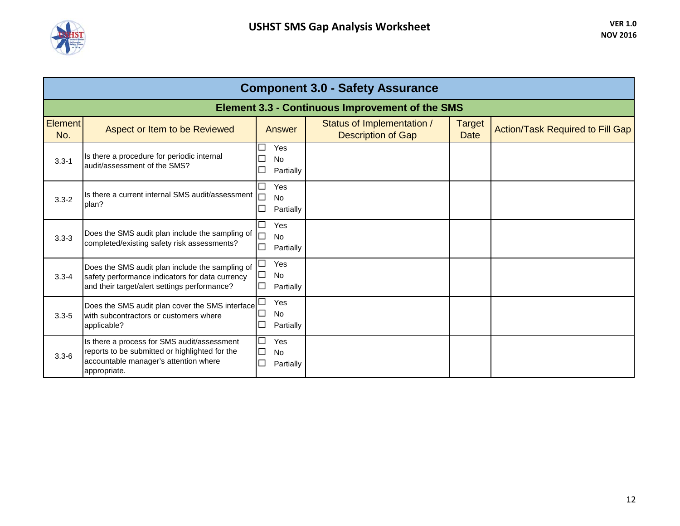

| <b>Component 3.0 - Safety Assurance</b> |                                                                                                                                                        |                                                                                     |                                                         |                              |                                         |  |  |  |  |
|-----------------------------------------|--------------------------------------------------------------------------------------------------------------------------------------------------------|-------------------------------------------------------------------------------------|---------------------------------------------------------|------------------------------|-----------------------------------------|--|--|--|--|
|                                         | <b>Element 3.3 - Continuous Improvement of the SMS</b>                                                                                                 |                                                                                     |                                                         |                              |                                         |  |  |  |  |
| <b>Element</b><br>No.                   | Aspect or Item to be Reviewed                                                                                                                          | <b>Answer</b>                                                                       | Status of Implementation /<br><b>Description of Gap</b> | <b>Target</b><br><b>Date</b> | <b>Action/Task Required to Fill Gap</b> |  |  |  |  |
| $3.3 - 1$                               | Is there a procedure for periodic internal<br>audit/assessment of the SMS?                                                                             | □<br>Yes<br>□<br>No<br>$\Box$<br>Partially                                          |                                                         |                              |                                         |  |  |  |  |
| $3.3 - 2$                               | Is there a current internal SMS audit/assessment  <br>plan?                                                                                            | □<br>Yes<br><b>No</b><br>$\Box$<br>Partially                                        |                                                         |                              |                                         |  |  |  |  |
| $3.3 - 3$                               | Does the SMS audit plan include the sampling of<br>completed/existing safety risk assessments?                                                         | $\Box$<br>Yes<br>$\Box$<br>No<br>$\Box$<br>Partially                                |                                                         |                              |                                         |  |  |  |  |
| $3.3 - 4$                               | Does the SMS audit plan include the sampling of<br>safety performance indicators for data currency<br>and their target/alert settings performance?     | $\Box$<br>Yes<br>П<br><b>No</b><br>$\overline{\phantom{a}}$<br>Partially            |                                                         |                              |                                         |  |  |  |  |
| $3.3 - 5$                               | Does the SMS audit plan cover the SMS interface<br>with subcontractors or customers where<br>applicable?                                               | Г<br>Yes<br>No<br>$\overline{\phantom{a}}$<br>$\overline{\phantom{a}}$<br>Partially |                                                         |                              |                                         |  |  |  |  |
| $3.3 - 6$                               | Is there a process for SMS audit/assessment<br>reports to be submitted or highlighted for the<br>accountable manager's attention where<br>appropriate. | ⊏<br>Yes<br>$\Box$<br><b>No</b><br>$\Box$<br>Partially                              |                                                         |                              |                                         |  |  |  |  |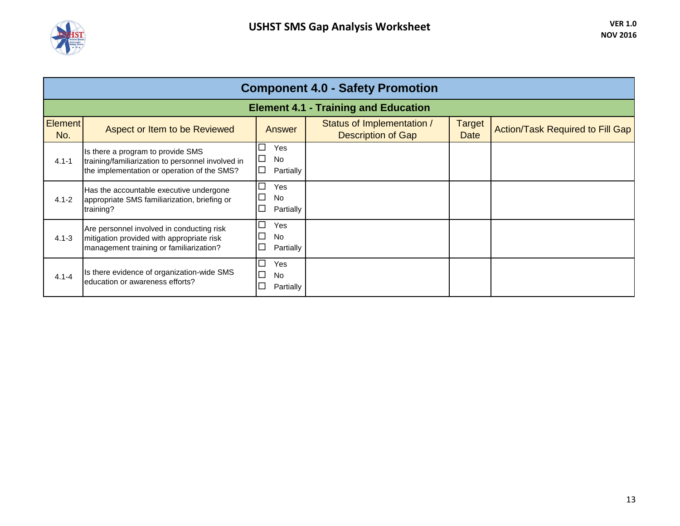

| <b>Component 4.0 - Safety Promotion</b>     |                                                                                                                                       |                                                                          |                                                         |                       |                                         |  |  |  |  |
|---------------------------------------------|---------------------------------------------------------------------------------------------------------------------------------------|--------------------------------------------------------------------------|---------------------------------------------------------|-----------------------|-----------------------------------------|--|--|--|--|
| <b>Element 4.1 - Training and Education</b> |                                                                                                                                       |                                                                          |                                                         |                       |                                         |  |  |  |  |
| <b>Element</b><br>No.                       | Aspect or Item to be Reviewed                                                                                                         | <b>Answer</b>                                                            | Status of Implementation /<br><b>Description of Gap</b> | <b>Target</b><br>Date | <b>Action/Task Required to Fill Gap</b> |  |  |  |  |
| $4.1 - 1$                                   | Is there a program to provide SMS<br>training/familiarization to personnel involved in<br>the implementation or operation of the SMS? | <b>Yes</b><br>$\mathcal{L}_{\mathcal{A}}$<br><b>No</b><br>□<br>Partially |                                                         |                       |                                         |  |  |  |  |
| $4.1 - 2$                                   | Has the accountable executive undergone<br>appropriate SMS familiarization, briefing or<br>training?                                  | $\Box$<br>Yes<br><b>No</b><br>Partially                                  |                                                         |                       |                                         |  |  |  |  |
| $4.1 - 3$                                   | Are personnel involved in conducting risk<br>mitigation provided with appropriate risk<br>management training or familiarization?     | $\Box$<br>Yes<br>No<br>Partially                                         |                                                         |                       |                                         |  |  |  |  |
| $4.1 - 4$                                   | Is there evidence of organization-wide SMS<br>education or awareness efforts?                                                         | ⊏<br>Yes<br><b>No</b><br>Partially                                       |                                                         |                       |                                         |  |  |  |  |